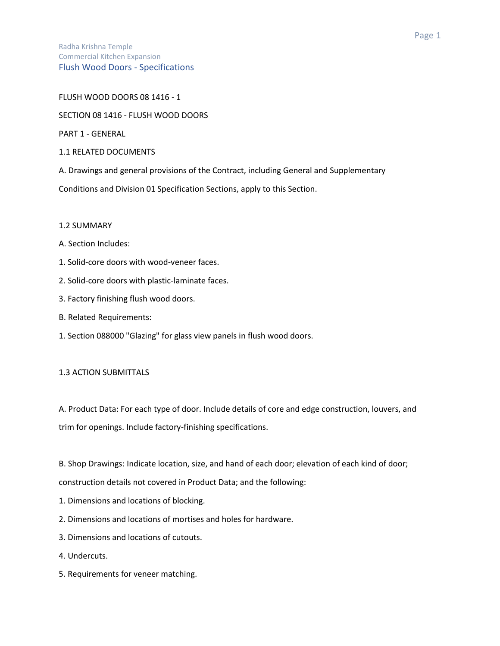### FLUSH WOOD DOORS 08 1416 - 1

### SECTION 08 1416 - FLUSH WOOD DOORS

PART 1 - GENERAL

- 1.1 RELATED DOCUMENTS
- A. Drawings and general provisions of the Contract, including General and Supplementary

Conditions and Division 01 Specification Sections, apply to this Section.

# 1.2 SUMMARY

- A. Section Includes:
- 1. Solid-core doors with wood-veneer faces.
- 2. Solid-core doors with plastic-laminate faces.
- 3. Factory finishing flush wood doors.
- B. Related Requirements:
- 1. Section 088000 "Glazing" for glass view panels in flush wood doors.

# 1.3 ACTION SUBMITTALS

A. Product Data: For each type of door. Include details of core and edge construction, louvers, and trim for openings. Include factory-finishing specifications.

B. Shop Drawings: Indicate location, size, and hand of each door; elevation of each kind of door;

construction details not covered in Product Data; and the following:

- 1. Dimensions and locations of blocking.
- 2. Dimensions and locations of mortises and holes for hardware.
- 3. Dimensions and locations of cutouts.
- 4. Undercuts.
- 5. Requirements for veneer matching.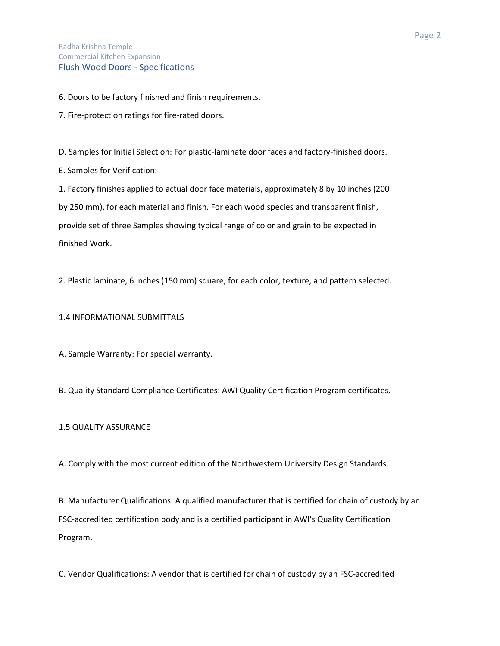6. Doors to be factory finished and finish requirements.

7. Fire-protection ratings for fire-rated doors.

D. Samples for Initial Selection: For plastic-laminate door faces and factory-finished doors.

E. Samples for Verification:

1. Factory finishes applied to actual door face materials, approximately 8 by 10 inches (200 by 250 mm), for each material and finish. For each wood species and transparent finish, provide set of three Samples showing typical range of color and grain to be expected in finished Work.

2. Plastic laminate, 6 inches (150 mm) square, for each color, texture, and pattern selected.

1.4 INFORMATIONAL SUBMITTALS

A. Sample Warranty: For special warranty.

B. Quality Standard Compliance Certificates: AWI Quality Certification Program certificates.

# 1.5 QUALITY ASSURANCE

A. Comply with the most current edition of the Northwestern University Design Standards.

B. Manufacturer Qualifications: A qualified manufacturer that is certified for chain of custody by an FSC-accredited certification body and is a certified participant in AWI's Quality Certification Program.

C. Vendor Qualifications: A vendor that is certified for chain of custody by an FSC-accredited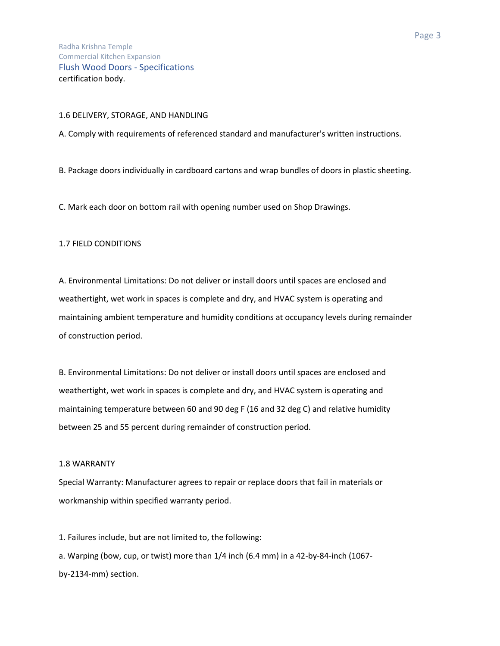#### 1.6 DELIVERY, STORAGE, AND HANDLING

A. Comply with requirements of referenced standard and manufacturer's written instructions.

B. Package doors individually in cardboard cartons and wrap bundles of doors in plastic sheeting.

C. Mark each door on bottom rail with opening number used on Shop Drawings.

### 1.7 FIELD CONDITIONS

A. Environmental Limitations: Do not deliver or install doors until spaces are enclosed and weathertight, wet work in spaces is complete and dry, and HVAC system is operating and maintaining ambient temperature and humidity conditions at occupancy levels during remainder of construction period.

B. Environmental Limitations: Do not deliver or install doors until spaces are enclosed and weathertight, wet work in spaces is complete and dry, and HVAC system is operating and maintaining temperature between 60 and 90 deg F (16 and 32 deg C) and relative humidity between 25 and 55 percent during remainder of construction period.

#### 1.8 WARRANTY

Special Warranty: Manufacturer agrees to repair or replace doors that fail in materials or workmanship within specified warranty period.

1. Failures include, but are not limited to, the following:

a. Warping (bow, cup, or twist) more than 1/4 inch (6.4 mm) in a 42-by-84-inch (1067 by-2134-mm) section.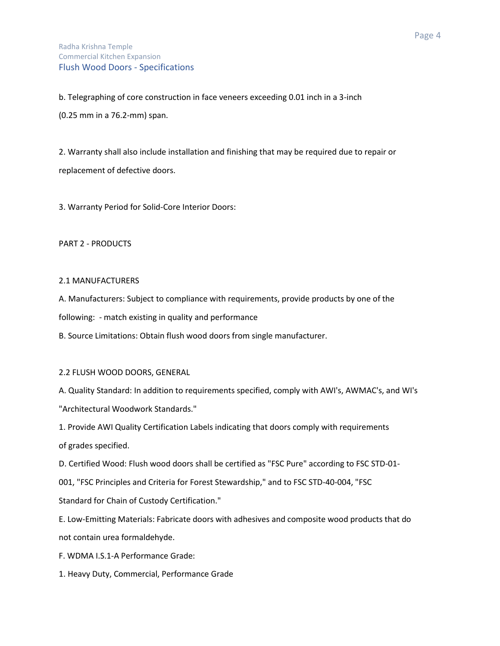b. Telegraphing of core construction in face veneers exceeding 0.01 inch in a 3-inch (0.25 mm in a 76.2-mm) span.

2. Warranty shall also include installation and finishing that may be required due to repair or replacement of defective doors.

3. Warranty Period for Solid-Core Interior Doors:

# PART 2 - PRODUCTS

# 2.1 MANUFACTURERS

A. Manufacturers: Subject to compliance with requirements, provide products by one of the

following: - match existing in quality and performance

B. Source Limitations: Obtain flush wood doors from single manufacturer.

# 2.2 FLUSH WOOD DOORS, GENERAL

A. Quality Standard: In addition to requirements specified, comply with AWI's, AWMAC's, and WI's "Architectural Woodwork Standards."

1. Provide AWI Quality Certification Labels indicating that doors comply with requirements of grades specified.

D. Certified Wood: Flush wood doors shall be certified as "FSC Pure" according to FSC STD-01-

001, "FSC Principles and Criteria for Forest Stewardship," and to FSC STD-40-004, "FSC

Standard for Chain of Custody Certification."

E. Low-Emitting Materials: Fabricate doors with adhesives and composite wood products that do not contain urea formaldehyde.

F. WDMA I.S.1-A Performance Grade:

1. Heavy Duty, Commercial, Performance Grade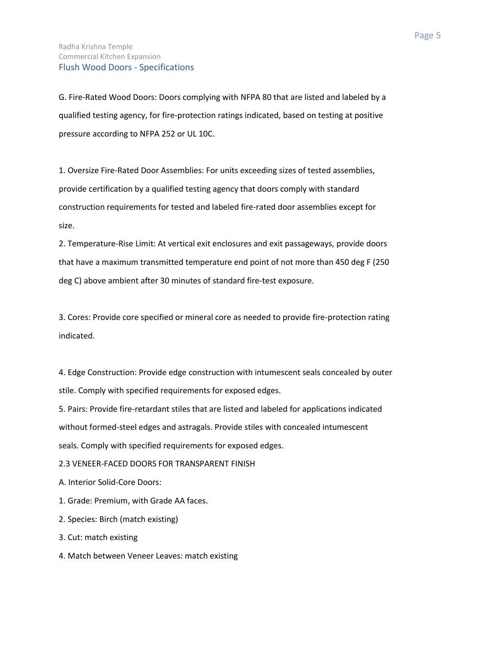# Radha Krishna Temple Commercial Kitchen Expansion Flush Wood Doors - Specifications

G. Fire-Rated Wood Doors: Doors complying with NFPA 80 that are listed and labeled by a qualified testing agency, for fire-protection ratings indicated, based on testing at positive pressure according to NFPA 252 or UL 10C.

1. Oversize Fire-Rated Door Assemblies: For units exceeding sizes of tested assemblies, provide certification by a qualified testing agency that doors comply with standard construction requirements for tested and labeled fire-rated door assemblies except for size.

2. Temperature-Rise Limit: At vertical exit enclosures and exit passageways, provide doors that have a maximum transmitted temperature end point of not more than 450 deg F (250 deg C) above ambient after 30 minutes of standard fire-test exposure.

3. Cores: Provide core specified or mineral core as needed to provide fire-protection rating indicated.

4. Edge Construction: Provide edge construction with intumescent seals concealed by outer stile. Comply with specified requirements for exposed edges.

5. Pairs: Provide fire-retardant stiles that are listed and labeled for applications indicated without formed-steel edges and astragals. Provide stiles with concealed intumescent seals. Comply with specified requirements for exposed edges.

2.3 VENEER-FACED DOORS FOR TRANSPARENT FINISH

A. Interior Solid-Core Doors:

1. Grade: Premium, with Grade AA faces.

2. Species: Birch (match existing)

3. Cut: match existing

4. Match between Veneer Leaves: match existing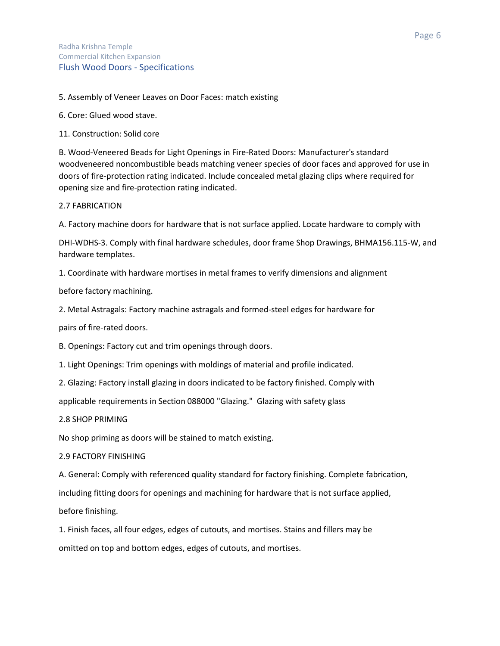5. Assembly of Veneer Leaves on Door Faces: match existing

6. Core: Glued wood stave.

11. Construction: Solid core

B. Wood-Veneered Beads for Light Openings in Fire-Rated Doors: Manufacturer's standard woodveneered noncombustible beads matching veneer species of door faces and approved for use in doors of fire-protection rating indicated. Include concealed metal glazing clips where required for opening size and fire-protection rating indicated.

2.7 FABRICATION

A. Factory machine doors for hardware that is not surface applied. Locate hardware to comply with

DHI-WDHS-3. Comply with final hardware schedules, door frame Shop Drawings, BHMA156.115-W, and hardware templates.

1. Coordinate with hardware mortises in metal frames to verify dimensions and alignment

before factory machining.

2. Metal Astragals: Factory machine astragals and formed-steel edges for hardware for

pairs of fire-rated doors.

B. Openings: Factory cut and trim openings through doors.

1. Light Openings: Trim openings with moldings of material and profile indicated.

2. Glazing: Factory install glazing in doors indicated to be factory finished. Comply with

applicable requirements in Section 088000 "Glazing." Glazing with safety glass

2.8 SHOP PRIMING

No shop priming as doors will be stained to match existing.

2.9 FACTORY FINISHING

A. General: Comply with referenced quality standard for factory finishing. Complete fabrication,

including fitting doors for openings and machining for hardware that is not surface applied,

before finishing.

1. Finish faces, all four edges, edges of cutouts, and mortises. Stains and fillers may be omitted on top and bottom edges, edges of cutouts, and mortises.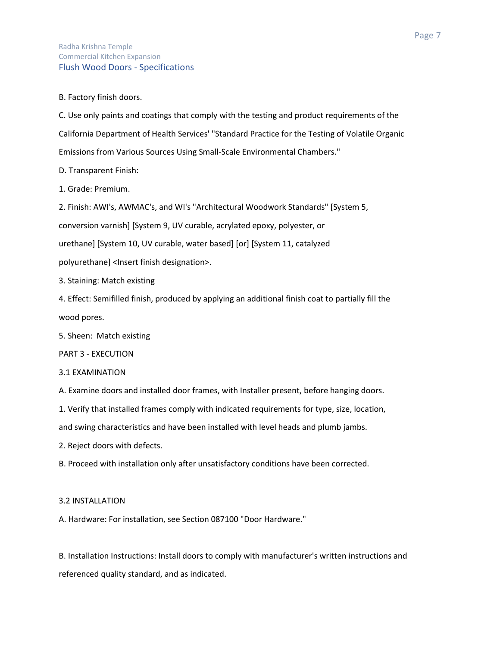# Radha Krishna Temple Commercial Kitchen Expansion Flush Wood Doors - Specifications

B. Factory finish doors.

C. Use only paints and coatings that comply with the testing and product requirements of the California Department of Health Services' "Standard Practice for the Testing of Volatile Organic Emissions from Various Sources Using Small-Scale Environmental Chambers."

D. Transparent Finish:

1. Grade: Premium.

2. Finish: AWI's, AWMAC's, and WI's "Architectural Woodwork Standards" [System 5,

conversion varnish] [System 9, UV curable, acrylated epoxy, polyester, or

urethane] [System 10, UV curable, water based] [or] [System 11, catalyzed

polyurethane] <Insert finish designation>.

3. Staining: Match existing

4. Effect: Semifilled finish, produced by applying an additional finish coat to partially fill the wood pores.

5. Sheen: Match existing

PART 3 - EXECUTION

### 3.1 EXAMINATION

A. Examine doors and installed door frames, with Installer present, before hanging doors.

1. Verify that installed frames comply with indicated requirements for type, size, location,

and swing characteristics and have been installed with level heads and plumb jambs.

2. Reject doors with defects.

B. Proceed with installation only after unsatisfactory conditions have been corrected.

### 3.2 INSTALLATION

A. Hardware: For installation, see Section 087100 "Door Hardware."

B. Installation Instructions: Install doors to comply with manufacturer's written instructions and referenced quality standard, and as indicated.